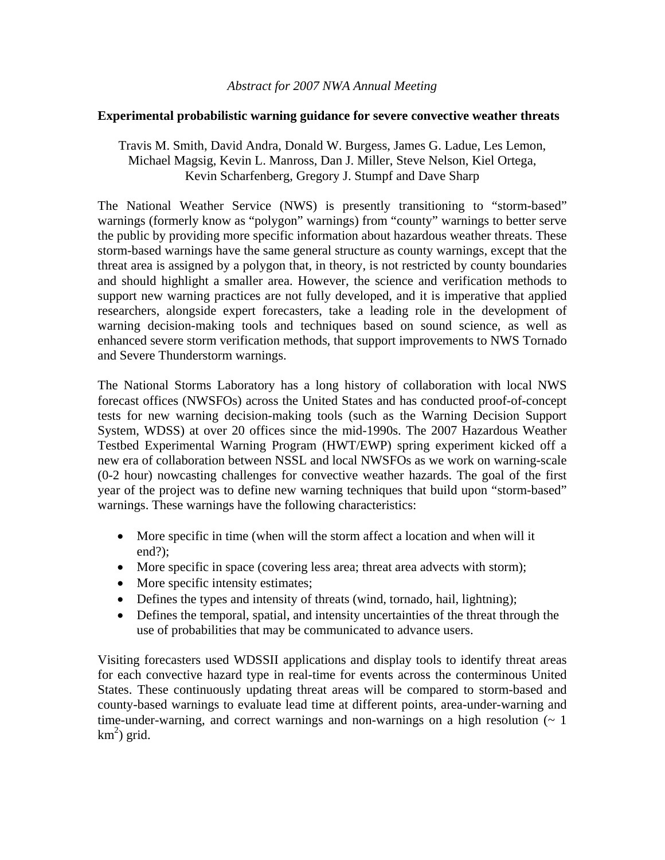## *Abstract for 2007 NWA Annual Meeting*

## **Experimental probabilistic warning guidance for severe convective weather threats**

## Travis M. Smith, David Andra, Donald W. Burgess, James G. Ladue, Les Lemon, Michael Magsig, Kevin L. Manross, Dan J. Miller, Steve Nelson, Kiel Ortega, Kevin Scharfenberg, Gregory J. Stumpf and Dave Sharp

The National Weather Service (NWS) is presently transitioning to "storm-based" warnings (formerly know as "polygon" warnings) from "county" warnings to better serve the public by providing more specific information about hazardous weather threats. These storm-based warnings have the same general structure as county warnings, except that the threat area is assigned by a polygon that, in theory, is not restricted by county boundaries and should highlight a smaller area. However, the science and verification methods to support new warning practices are not fully developed, and it is imperative that applied researchers, alongside expert forecasters, take a leading role in the development of warning decision-making tools and techniques based on sound science, as well as enhanced severe storm verification methods, that support improvements to NWS Tornado and Severe Thunderstorm warnings.

The National Storms Laboratory has a long history of collaboration with local NWS forecast offices (NWSFOs) across the United States and has conducted proof-of-concept tests for new warning decision-making tools (such as the Warning Decision Support System, WDSS) at over 20 offices since the mid-1990s. The 2007 Hazardous Weather Testbed Experimental Warning Program (HWT/EWP) spring experiment kicked off a new era of collaboration between NSSL and local NWSFOs as we work on warning-scale (0-2 hour) nowcasting challenges for convective weather hazards. The goal of the first year of the project was to define new warning techniques that build upon "storm-based" warnings. These warnings have the following characteristics:

- More specific in time (when will the storm affect a location and when will it end?);
- More specific in space (covering less area; threat area advects with storm);
- More specific intensity estimates;
- Defines the types and intensity of threats (wind, tornado, hail, lightning);
- Defines the temporal, spatial, and intensity uncertainties of the threat through the use of probabilities that may be communicated to advance users.

Visiting forecasters used WDSSII applications and display tools to identify threat areas for each convective hazard type in real-time for events across the conterminous United States. These continuously updating threat areas will be compared to storm-based and county-based warnings to evaluate lead time at different points, area-under-warning and time-under-warning, and correct warnings and non-warnings on a high resolution  $($   $\sim$  1  $km<sup>2</sup>$ ) grid.